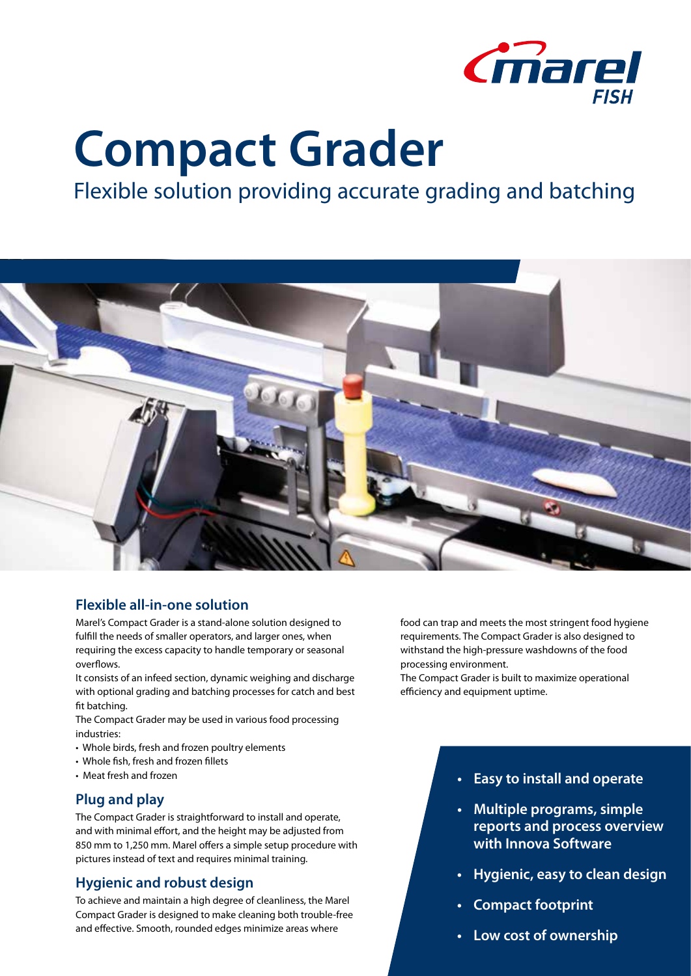

# **Compact Grader**

# Flexible solution providing accurate grading and batching



# **Flexible all-in-one solution**

Marel's Compact Grader is a stand-alone solution designed to fulfill the needs of smaller operators, and larger ones, when requiring the excess capacity to handle temporary or seasonal overflows.

It consists of an infeed section, dynamic weighing and discharge with optional grading and batching processes for catch and best fit batching.

The Compact Grader may be used in various food processing industries:

- Whole birds, fresh and frozen poultry elements
- Whole fish, fresh and frozen fillets
- Meat fresh and frozen

#### **Plug and play**

The Compact Grader is straightforward to install and operate, and with minimal effort, and the height may be adjusted from 850 mm to 1,250 mm. Marel offers a simple setup procedure with pictures instead of text and requires minimal training.

#### **Hygienic and robust design**

To achieve and maintain a high degree of cleanliness, the Marel Compact Grader is designed to make cleaning both trouble-free and effective. Smooth, rounded edges minimize areas where

food can trap and meets the most stringent food hygiene requirements. The Compact Grader is also designed to withstand the high-pressure washdowns of the food processing environment.

The Compact Grader is built to maximize operational efficiency and equipment uptime.

#### **• Easy to install and operate**

- **• Multiple programs, simple reports and process overview with Innova Software**
- **• Hygienic, easy to clean design**
- **• Compact footprint**
- **• Low cost of ownership**